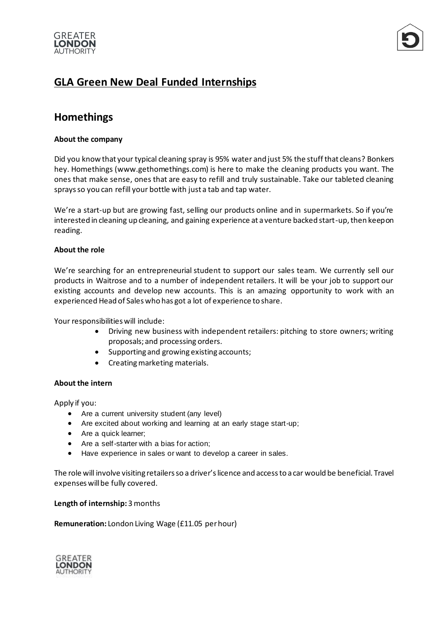



# **GLA Green New Deal Funded Internships**

## **Homethings**

### **About the company**

Did you know that your typical cleaning spray is 95% water and just 5% the stuff that cleans? Bonkers hey. Homethings (www.gethomethings.com) is here to make the cleaning products you want. The ones that make sense, ones that are easy to refill and truly sustainable. Take our tableted cleaning sprays so you can refill your bottle with just a tab and tap water.

We're a start-up but are growing fast, selling our products online and in supermarkets. So if you're interested in cleaning up cleaning, and gaining experience at a venture backed start-up, then keep on reading.

#### **About the role**

We're searching for an entrepreneurial student to support our sales team. We currently sell our products in Waitrose and to a number of independent retailers. It will be your job to support our existing accounts and develop new accounts. This is an amazing opportunity to work with an experienced Head of Sales who has got a lot of experience to share.

Your responsibilities will include:

- Driving new business with independent retailers: pitching to store owners; writing proposals; and processing orders.
- Supporting and growing existing accounts;
- Creating marketing materials.

#### **About the intern**

Apply if you:

- Are a current university student (any level)
- Are excited about working and learning at an early stage start-up;
- Are a quick learner;
- Are a self-starter with a bias for action;
- Have experience in sales or want to develop a career in sales.

The role will involve visiting retailers so a driver'slicence and access to a car would be beneficial. Travel expenses will be fully covered.

#### **Length of internship:** 3 months

**Remuneration:** London Living Wage (£11.05 per hour)